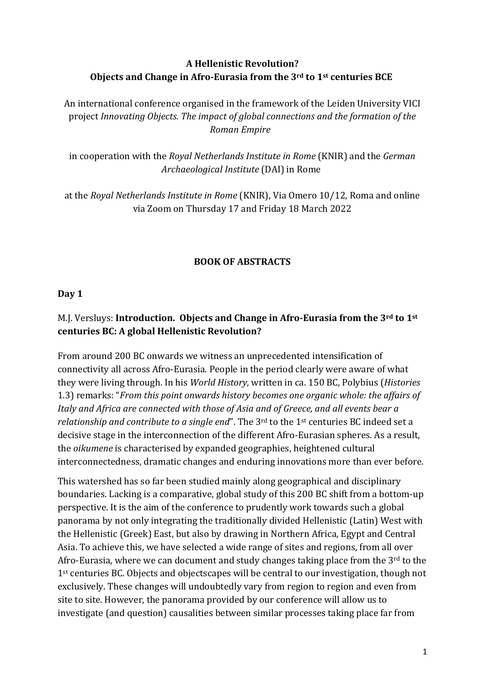## **A Hellenistic Revolution? Objects and Change in Afro-Eurasia from the 3rd to 1st centuries BCE**

An international conference organised in the framework of the Leiden University VICI project *Innovating Objects. The impact of global connections and the formation of the Roman Empire*

in cooperation with the *Royal Netherlands Institute in Rome* (KNIR) and the *German Archaeological Institute* (DAI) in Rome

at the *Royal Netherlands Institute in Rome* (KNIR), Via Omero 10/12, Roma and online via Zoom on Thursday 17 and Friday 18 March 2022

## **BOOK OF ABSTRACTS**

#### **Day 1**

## M.J. Versluys: **Introduction. Objects and Change in Afro-Eurasia from the 3rd to 1st centuries BC: A global Hellenistic Revolution?**

From around 200 BC onwards we witness an unprecedented intensification of connectivity all across Afro-Eurasia. People in the period clearly were aware of what they were living through. In his *World History*, written in ca. 150 BC, Polybius (*Histories* 1.3) remarks: "*From this point onwards history becomes one organic whole: the affairs of Italy and Africa are connected with those of Asia and of Greece, and all events bear a relationship and contribute to a single end*". The 3<sup>rd</sup> to the 1<sup>st</sup> centuries BC indeed set a decisive stage in the interconnection of the different Afro-Eurasian spheres. As a result, the *oikumene* is characterised by expanded geographies, heightened cultural interconnectedness, dramatic changes and enduring innovations more than ever before.

This watershed has so far been studied mainly along geographical and disciplinary boundaries. Lacking is a comparative, global study of this 200 BC shift from a bottom-up perspective. It is the aim of the conference to prudently work towards such a global panorama by not only integrating the traditionally divided Hellenistic (Latin) West with the Hellenistic (Greek) East, but also by drawing in Northern Africa, Egypt and Central Asia. To achieve this, we have selected a wide range of sites and regions, from all over Afro-Eurasia, where we can document and study changes taking place from the  $3<sup>rd</sup>$  to the 1<sup>st</sup> centuries BC. Objects and objectscapes will be central to our investigation, though not exclusively. These changes will undoubtedly vary from region to region and even from site to site. However, the panorama provided by our conference will allow us to investigate (and question) causalities between similar processes taking place far from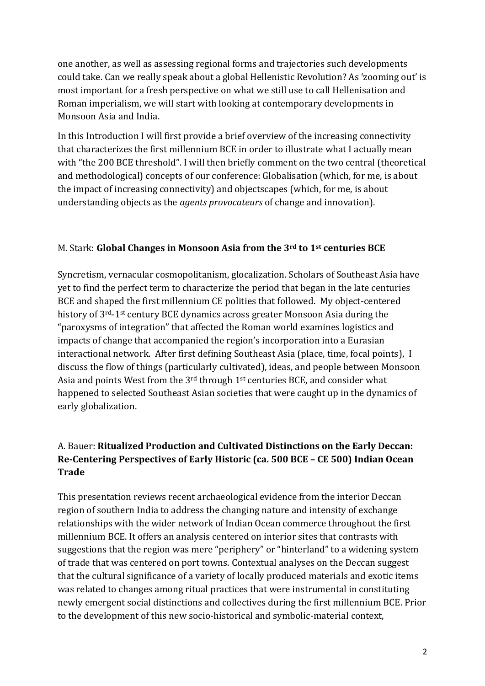one another, as well as assessing regional forms and trajectories such developments could take. Can we really speak about a global Hellenistic Revolution? As 'zooming out' is most important for a fresh perspective on what we still use to call Hellenisation and Roman imperialism, we will start with looking at contemporary developments in Monsoon Asia and India.

In this Introduction I will first provide a brief overview of the increasing connectivity that characterizes the first millennium BCE in order to illustrate what I actually mean with "the 200 BCE threshold". I will then briefly comment on the two central (theoretical and methodological) concepts of our conference: Globalisation (which, for me, is about the impact of increasing connectivity) and objectscapes (which, for me, is about understanding objects as the *agents provocateurs* of change and innovation).

### M. Stark: **Global Changes in Monsoon Asia from the 3rd to 1st centuries BCE**

Syncretism, vernacular cosmopolitanism, glocalization. Scholars of Southeast Asia have yet to find the perfect term to characterize the period that began in the late centuries BCE and shaped the first millennium CE polities that followed. My object-centered history of 3rd-1st century BCE dynamics across greater Monsoon Asia during the "paroxysms of integration" that affected the Roman world examines logistics and impacts of change that accompanied the region's incorporation into a Eurasian interactional network. After first defining Southeast Asia (place, time, focal points), I discuss the flow of things (particularly cultivated), ideas, and people between Monsoon Asia and points West from the 3rd through 1st centuries BCE, and consider what happened to selected Southeast Asian societies that were caught up in the dynamics of early globalization.

# A. Bauer: **Ritualized Production and Cultivated Distinctions on the Early Deccan: Re-Centering Perspectives of Early Historic (ca. 500 BCE – CE 500) Indian Ocean Trade**

This presentation reviews recent archaeological evidence from the interior Deccan region of southern India to address the changing nature and intensity of exchange relationships with the wider network of Indian Ocean commerce throughout the first millennium BCE. It offers an analysis centered on interior sites that contrasts with suggestions that the region was mere "periphery" or "hinterland" to a widening system of trade that was centered on port towns. Contextual analyses on the Deccan suggest that the cultural significance of a variety of locally produced materials and exotic items was related to changes among ritual practices that were instrumental in constituting newly emergent social distinctions and collectives during the first millennium BCE. Prior to the development of this new socio-historical and symbolic-material context,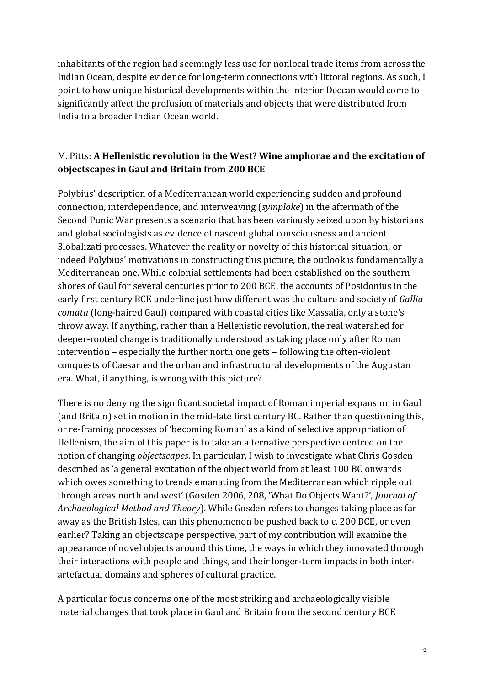inhabitants of the region had seemingly less use for nonlocal trade items from across the Indian Ocean, despite evidence for long-term connections with littoral regions. As such, I point to how unique historical developments within the interior Deccan would come to significantly affect the profusion of materials and objects that were distributed from India to a broader Indian Ocean world.

## M. Pitts: **A Hellenistic revolution in the West? Wine amphorae and the excitation of objectscapes in Gaul and Britain from 200 BCE**

Polybius' description of a Mediterranean world experiencing sudden and profound connection, interdependence, and interweaving (*symploke*) in the aftermath of the Second Punic War presents a scenario that has been variously seized upon by historians and global sociologists as evidence of nascent global consciousness and ancient 3lobalizati processes. Whatever the reality or novelty of this historical situation, or indeed Polybius' motivations in constructing this picture, the outlook is fundamentally a Mediterranean one. While colonial settlements had been established on the southern shores of Gaul for several centuries prior to 200 BCE, the accounts of Posidonius in the early first century BCE underline just how different was the culture and society of *Gallia comata* (long-haired Gaul) compared with coastal cities like Massalia, only a stone's throw away. If anything, rather than a Hellenistic revolution, the real watershed for deeper-rooted change is traditionally understood as taking place only after Roman intervention – especially the further north one gets – following the often-violent conquests of Caesar and the urban and infrastructural developments of the Augustan era. What, if anything, is wrong with this picture?

There is no denying the significant societal impact of Roman imperial expansion in Gaul (and Britain) set in motion in the mid-late first century BC. Rather than questioning this, or re-framing processes of 'becoming Roman' as a kind of selective appropriation of Hellenism, the aim of this paper is to take an alternative perspective centred on the notion of changing *objectscapes*. In particular, I wish to investigate what Chris Gosden described as 'a general excitation of the object world from at least 100 BC onwards which owes something to trends emanating from the Mediterranean which ripple out through areas north and west' (Gosden 2006, 208, 'What Do Objects Want?', *Journal of Archaeological Method and Theory*). While Gosden refers to changes taking place as far away as the British Isles, can this phenomenon be pushed back to c. 200 BCE, or even earlier? Taking an objectscape perspective, part of my contribution will examine the appearance of novel objects around this time, the ways in which they innovated through their interactions with people and things, and their longer-term impacts in both interartefactual domains and spheres of cultural practice.

A particular focus concerns one of the most striking and archaeologically visible material changes that took place in Gaul and Britain from the second century BCE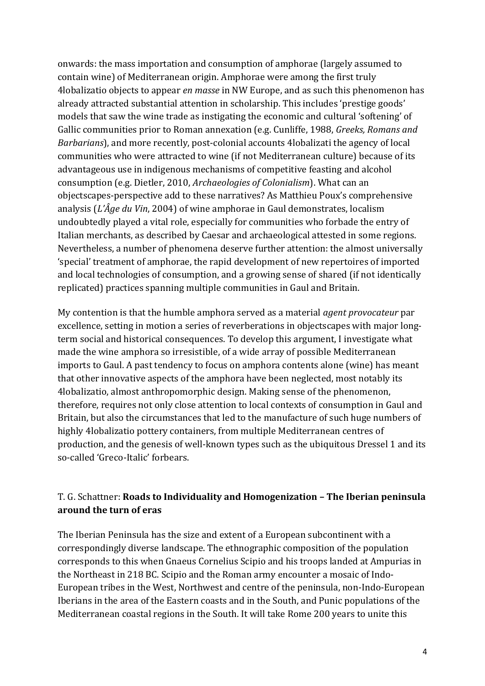onwards: the mass importation and consumption of amphorae (largely assumed to contain wine) of Mediterranean origin. Amphorae were among the first truly 4lobalizatio objects to appear *en masse* in NW Europe, and as such this phenomenon has already attracted substantial attention in scholarship. This includes 'prestige goods' models that saw the wine trade as instigating the economic and cultural 'softening' of Gallic communities prior to Roman annexation (e.g. Cunliffe, 1988, *Greeks, Romans and Barbarians*), and more recently, post-colonial accounts 4lobalizati the agency of local communities who were attracted to wine (if not Mediterranean culture) because of its advantageous use in indigenous mechanisms of competitive feasting and alcohol consumption (e.g. Dietler, 2010, *Archaeologies of Colonialism*). What can an objectscapes-perspective add to these narratives? As Matthieu Poux's comprehensive analysis (*L'Âge du Vin*, 2004) of wine amphorae in Gaul demonstrates, localism undoubtedly played a vital role, especially for communities who forbade the entry of Italian merchants, as described by Caesar and archaeological attested in some regions. Nevertheless, a number of phenomena deserve further attention: the almost universally 'special' treatment of amphorae, the rapid development of new repertoires of imported and local technologies of consumption, and a growing sense of shared (if not identically replicated) practices spanning multiple communities in Gaul and Britain.

My contention is that the humble amphora served as a material *agent provocateur* par excellence, setting in motion a series of reverberations in objectscapes with major longterm social and historical consequences. To develop this argument, I investigate what made the wine amphora so irresistible, of a wide array of possible Mediterranean imports to Gaul. A past tendency to focus on amphora contents alone (wine) has meant that other innovative aspects of the amphora have been neglected, most notably its 4lobalizatio, almost anthropomorphic design. Making sense of the phenomenon, therefore, requires not only close attention to local contexts of consumption in Gaul and Britain, but also the circumstances that led to the manufacture of such huge numbers of highly 4lobalizatio pottery containers, from multiple Mediterranean centres of production, and the genesis of well-known types such as the ubiquitous Dressel 1 and its so-called 'Greco-Italic' forbears.

## T. G. Schattner: **Roads to Individuality and Homogenization – The Iberian peninsula around the turn of eras**

The Iberian Peninsula has the size and extent of a European subcontinent with a correspondingly diverse landscape. The ethnographic composition of the population corresponds to this when Gnaeus Cornelius Scipio and his troops landed at Ampurias in the Northeast in 218 BC. Scipio and the Roman army encounter a mosaic of Indo-European tribes in the West, Northwest and centre of the peninsula, non-Indo-European Iberians in the area of the Eastern coasts and in the South, and Punic populations of the Mediterranean coastal regions in the South. It will take Rome 200 years to unite this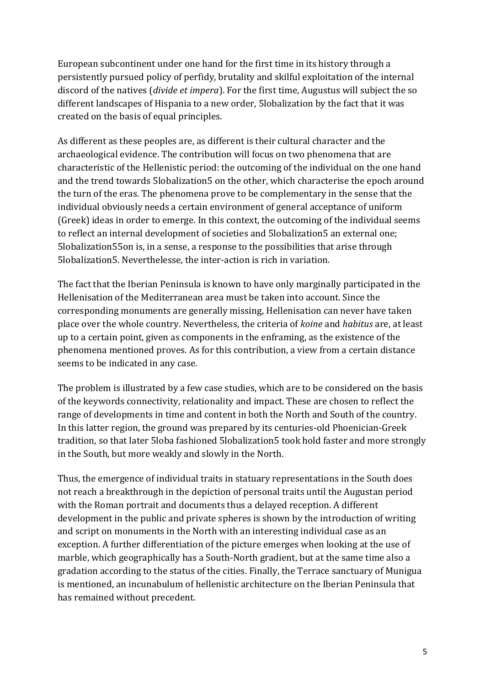European subcontinent under one hand for the first time in its history through a persistently pursued policy of perfidy, brutality and skilful exploitation of the internal discord of the natives (*divide et impera*). For the first time, Augustus will subject the so different landscapes of Hispania to a new order, 5lobalization by the fact that it was created on the basis of equal principles.

As different as these peoples are, as different is their cultural character and the archaeological evidence. The contribution will focus on two phenomena that are characteristic of the Hellenistic period: the outcoming of the individual on the one hand and the trend towards 5lobalization5 on the other, which characterise the epoch around the turn of the eras. The phenomena prove to be complementary in the sense that the individual obviously needs a certain environment of general acceptance of uniform (Greek) ideas in order to emerge. In this context, the outcoming of the individual seems to reflect an internal development of societies and 5lobalization5 an external one; 5lobalization55on is, in a sense, a response to the possibilities that arise through 5lobalization5. Neverthelesse, the inter-action is rich in variation.

The fact that the Iberian Peninsula is known to have only marginally participated in the Hellenisation of the Mediterranean area must be taken into account. Since the corresponding monuments are generally missing, Hellenisation can never have taken place over the whole country. Nevertheless, the criteria of *koine* and *habitus* are, at least up to a certain point, given as components in the enframing, as the existence of the phenomena mentioned proves. As for this contribution, a view from a certain distance seems to be indicated in any case.

The problem is illustrated by a few case studies, which are to be considered on the basis of the keywords connectivity, relationality and impact. These are chosen to reflect the range of developments in time and content in both the North and South of the country. In this latter region, the ground was prepared by its centuries-old Phoenician-Greek tradition, so that later 5loba fashioned 5lobalization5 took hold faster and more strongly in the South, but more weakly and slowly in the North.

Thus, the emergence of individual traits in statuary representations in the South does not reach a breakthrough in the depiction of personal traits until the Augustan period with the Roman portrait and documents thus a delayed reception. A different development in the public and private spheres is shown by the introduction of writing and script on monuments in the North with an interesting individual case as an exception. A further differentiation of the picture emerges when looking at the use of marble, which geographically has a South-North gradient, but at the same time also a gradation according to the status of the cities. Finally, the Terrace sanctuary of Munigua is mentioned, an incunabulum of hellenistic architecture on the Iberian Peninsula that has remained without precedent.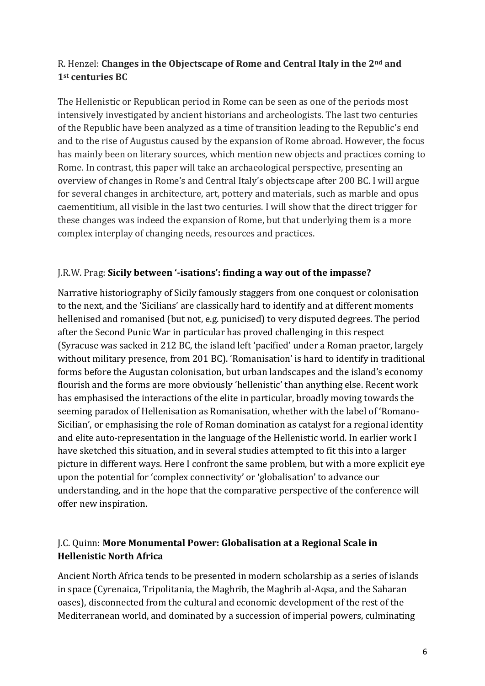## R. Henzel: **Changes in the Objectscape of Rome and Central Italy in the 2nd and 1st centuries BC**

The Hellenistic or Republican period in Rome can be seen as one of the periods most intensively investigated by ancient historians and archeologists. The last two centuries of the Republic have been analyzed as a time of transition leading to the Republic's end and to the rise of Augustus caused by the expansion of Rome abroad. However, the focus has mainly been on literary sources, which mention new objects and practices coming to Rome. In contrast, this paper will take an archaeological perspective, presenting an overview of changes in Rome's and Central Italy's objectscape after 200 BC. I will argue for several changes in architecture, art, pottery and materials, such as marble and opus caementitium, all visible in the last two centuries. I will show that the direct trigger for these changes was indeed the expansion of Rome, but that underlying them is a more complex interplay of changing needs, resources and practices.

### J.R.W. Prag: **Sicily between '-isations': finding a way out of the impasse?**

Narrative historiography of Sicily famously staggers from one conquest or colonisation to the next, and the 'Sicilians' are classically hard to identify and at different moments hellenised and romanised (but not, e.g. punicised) to very disputed degrees. The period after the Second Punic War in particular has proved challenging in this respect (Syracuse was sacked in 212 BC, the island left 'pacified' under a Roman praetor, largely without military presence, from 201 BC). 'Romanisation' is hard to identify in traditional forms before the Augustan colonisation, but urban landscapes and the island's economy flourish and the forms are more obviously 'hellenistic' than anything else. Recent work has emphasised the interactions of the elite in particular, broadly moving towards the seeming paradox of Hellenisation as Romanisation, whether with the label of 'Romano-Sicilian', or emphasising the role of Roman domination as catalyst for a regional identity and elite auto-representation in the language of the Hellenistic world. In earlier work I have sketched this situation, and in several studies attempted to fit this into a larger picture in different ways. Here I confront the same problem, but with a more explicit eye upon the potential for 'complex connectivity' or 'globalisation' to advance our understanding, and in the hope that the comparative perspective of the conference will offer new inspiration.

### J.C. Quinn: **More Monumental Power: Globalisation at a Regional Scale in Hellenistic North Africa**

Ancient North Africa tends to be presented in modern scholarship as a series of islands in space (Cyrenaica, Tripolitania, the Maghrib, the Maghrib al-Aqsa, and the Saharan oases), disconnected from the cultural and economic development of the rest of the Mediterranean world, and dominated by a succession of imperial powers, culminating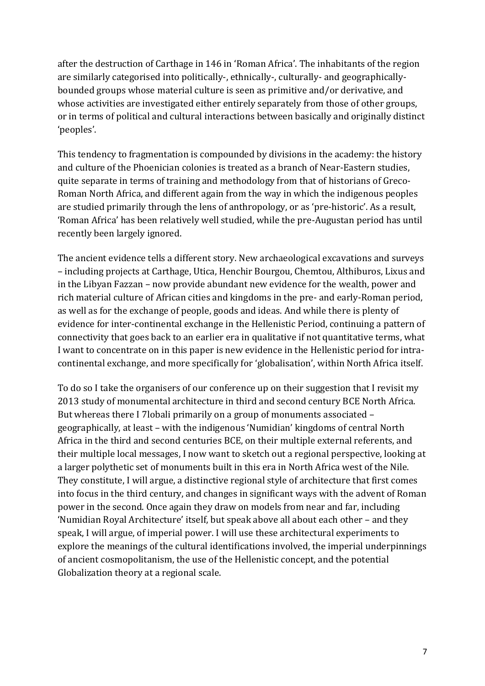after the destruction of Carthage in 146 in 'Roman Africa'. The inhabitants of the region are similarly categorised into politically-, ethnically-, culturally- and geographicallybounded groups whose material culture is seen as primitive and/or derivative, and whose activities are investigated either entirely separately from those of other groups, or in terms of political and cultural interactions between basically and originally distinct 'peoples'.

This tendency to fragmentation is compounded by divisions in the academy: the history and culture of the Phoenician colonies is treated as a branch of Near-Eastern studies, quite separate in terms of training and methodology from that of historians of Greco-Roman North Africa, and different again from the way in which the indigenous peoples are studied primarily through the lens of anthropology, or as 'pre-historic'. As a result, 'Roman Africa' has been relatively well studied, while the pre-Augustan period has until recently been largely ignored.

The ancient evidence tells a different story. New archaeological excavations and surveys – including projects at Carthage, Utica, Henchir Bourgou, Chemtou, Althiburos, Lixus and in the Libyan Fazzan – now provide abundant new evidence for the wealth, power and rich material culture of African cities and kingdoms in the pre- and early-Roman period, as well as for the exchange of people, goods and ideas. And while there is plenty of evidence for inter-continental exchange in the Hellenistic Period, continuing a pattern of connectivity that goes back to an earlier era in qualitative if not quantitative terms, what I want to concentrate on in this paper is new evidence in the Hellenistic period for intracontinental exchange, and more specifically for 'globalisation', within North Africa itself.

To do so I take the organisers of our conference up on their suggestion that I revisit my 2013 study of monumental architecture in third and second century BCE North Africa. But whereas there I 7lobali primarily on a group of monuments associated – geographically, at least – with the indigenous 'Numidian' kingdoms of central North Africa in the third and second centuries BCE, on their multiple external referents, and their multiple local messages, I now want to sketch out a regional perspective, looking at a larger polythetic set of monuments built in this era in North Africa west of the Nile. They constitute, I will argue, a distinctive regional style of architecture that first comes into focus in the third century, and changes in significant ways with the advent of Roman power in the second. Once again they draw on models from near and far, including 'Numidian Royal Architecture' itself, but speak above all about each other – and they speak, I will argue, of imperial power. I will use these architectural experiments to explore the meanings of the cultural identifications involved, the imperial underpinnings of ancient cosmopolitanism, the use of the Hellenistic concept, and the potential Globalization theory at a regional scale.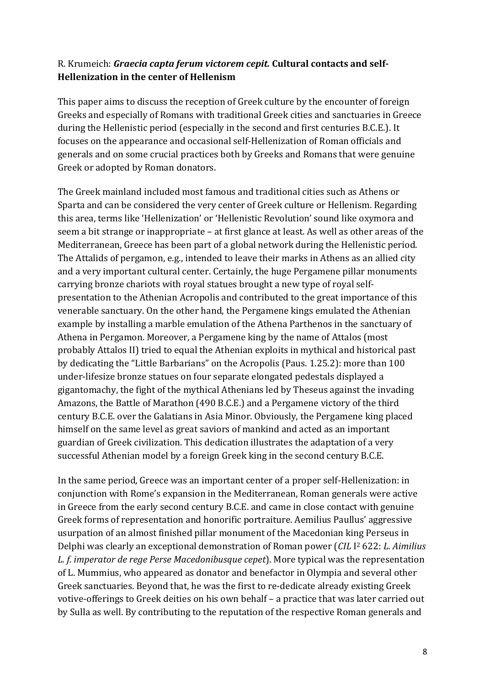#### R. Krumeich: *Graecia capta ferum victorem cepit.* **Cultural contacts and self-Hellenization in the center of Hellenism**

This paper aims to discuss the reception of Greek culture by the encounter of foreign Greeks and especially of Romans with traditional Greek cities and sanctuaries in Greece during the Hellenistic period (especially in the second and first centuries B.C.E.). It focuses on the appearance and occasional self-Hellenization of Roman officials and generals and on some crucial practices both by Greeks and Romans that were genuine Greek or adopted by Roman donators.

The Greek mainland included most famous and traditional cities such as Athens or Sparta and can be considered the very center of Greek culture or Hellenism. Regarding this area, terms like 'Hellenization' or 'Hellenistic Revolution' sound like oxymora and seem a bit strange or inappropriate – at first glance at least. As well as other areas of the Mediterranean, Greece has been part of a global network during the Hellenistic period. The Attalids of pergamon, e.g., intended to leave their marks in Athens as an allied city and a very important cultural center. Certainly, the huge Pergamene pillar monuments carrying bronze chariots with royal statues brought a new type of royal selfpresentation to the Athenian Acropolis and contributed to the great importance of this venerable sanctuary. On the other hand, the Pergamene kings emulated the Athenian example by installing a marble emulation of the Athena Parthenos in the sanctuary of Athena in Pergamon. Moreover, a Pergamene king by the name of Attalos (most probably Attalos II) tried to equal the Athenian exploits in mythical and historical past by dedicating the "Little Barbarians" on the Acropolis (Paus. 1.25.2): more than 100 under-lifesize bronze statues on four separate elongated pedestals displayed a gigantomachy, the fight of the mythical Athenians led by Theseus against the invading Amazons, the Battle of Marathon (490 B.C.E.) and a Pergamene victory of the third century B.C.E. over the Galatians in Asia Minor. Obviously, the Pergamene king placed himself on the same level as great saviors of mankind and acted as an important guardian of Greek civilization. This dedication illustrates the adaptation of a very successful Athenian model by a foreign Greek king in the second century B.C.E.

In the same period, Greece was an important center of a proper self-Hellenization: in conjunction with Rome's expansion in the Mediterranean, Roman generals were active in Greece from the early second century B.C.E. and came in close contact with genuine Greek forms of representation and honorific portraiture. Aemilius Paullus' aggressive usurpation of an almost finished pillar monument of the Macedonian king Perseus in Delphi was clearly an exceptional demonstration of Roman power (*CIL* I <sup>2</sup> 622: *L. Aimilius L. f. imperator de rege Perse Macedonibusque cepet*). More typical was the representation of L. Mummius, who appeared as donator and benefactor in Olympia and several other Greek sanctuaries. Beyond that, he was the first to re-dedicate already existing Greek votive-offerings to Greek deities on his own behalf – a practice that was later carried out by Sulla as well. By contributing to the reputation of the respective Roman generals and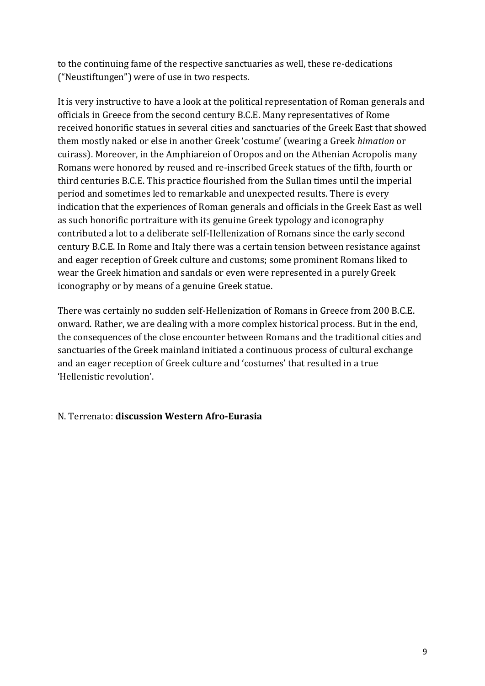to the continuing fame of the respective sanctuaries as well, these re-dedications ("Neustiftungen") were of use in two respects.

It is very instructive to have a look at the political representation of Roman generals and officials in Greece from the second century B.C.E. Many representatives of Rome received honorific statues in several cities and sanctuaries of the Greek East that showed them mostly naked or else in another Greek 'costume' (wearing a Greek *himation* or cuirass). Moreover, in the Amphiareion of Oropos and on the Athenian Acropolis many Romans were honored by reused and re-inscribed Greek statues of the fifth, fourth or third centuries B.C.E. This practice flourished from the Sullan times until the imperial period and sometimes led to remarkable and unexpected results. There is every indication that the experiences of Roman generals and officials in the Greek East as well as such honorific portraiture with its genuine Greek typology and iconography contributed a lot to a deliberate self-Hellenization of Romans since the early second century B.C.E. In Rome and Italy there was a certain tension between resistance against and eager reception of Greek culture and customs; some prominent Romans liked to wear the Greek himation and sandals or even were represented in a purely Greek iconography or by means of a genuine Greek statue.

There was certainly no sudden self-Hellenization of Romans in Greece from 200 B.C.E. onward. Rather, we are dealing with a more complex historical process. But in the end, the consequences of the close encounter between Romans and the traditional cities and sanctuaries of the Greek mainland initiated a continuous process of cultural exchange and an eager reception of Greek culture and 'costumes' that resulted in a true 'Hellenistic revolution'.

## N. Terrenato: **discussion Western Afro-Eurasia**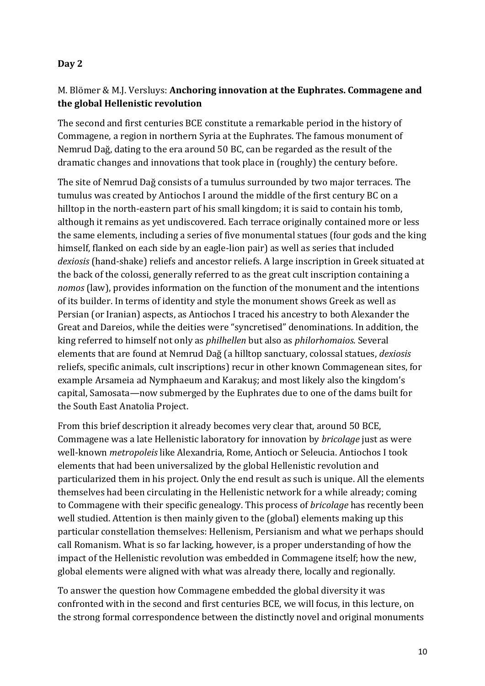#### **Day 2**

## M. Blömer & M.J. Versluys: **Anchoring innovation at the Euphrates. Commagene and the global Hellenistic revolution**

The second and first centuries BCE constitute a remarkable period in the history of Commagene, a region in northern Syria at the Euphrates. The famous monument of Nemrud Dağ, dating to the era around 50 BC, can be regarded as the result of the dramatic changes and innovations that took place in (roughly) the century before.

The site of Nemrud Dağ consists of a tumulus surrounded by two major terraces. The tumulus was created by Antiochos I around the middle of the first century BC on a hilltop in the north-eastern part of his small kingdom; it is said to contain his tomb, although it remains as yet undiscovered. Each terrace originally contained more or less the same elements, including a series of five monumental statues (four gods and the king himself, flanked on each side by an eagle-lion pair) as well as series that included *dexiosis* (hand-shake) reliefs and ancestor reliefs. A large inscription in Greek situated at the back of the colossi, generally referred to as the great cult inscription containing a *nomos* (law), provides information on the function of the monument and the intentions of its builder. In terms of identity and style the monument shows Greek as well as Persian (or Iranian) aspects, as Antiochos I traced his ancestry to both Alexander the Great and Dareios, while the deities were "syncretised" denominations. In addition, the king referred to himself not only as *philhellen* but also as *philorhomaios*. Several elements that are found at Nemrud Dağ (a hilltop sanctuary, colossal statues, *dexiosis* reliefs, specific animals, cult inscriptions) recur in other known Commagenean sites, for example Arsameia ad Nymphaeum and Karakuş; and most likely also the kingdom's capital, Samosata—now submerged by the Euphrates due to one of the dams built for the South East Anatolia Project.

From this brief description it already becomes very clear that, around 50 BCE, Commagene was a late Hellenistic laboratory for innovation by *bricolage* just as were well-known *metropoleis* like Alexandria, Rome, Antioch or Seleucia. Antiochos I took elements that had been universalized by the global Hellenistic revolution and particularized them in his project. Only the end result as such is unique. All the elements themselves had been circulating in the Hellenistic network for a while already; coming to Commagene with their specific genealogy. This process of *bricolage* has recently been well studied. Attention is then mainly given to the (global) elements making up this particular constellation themselves: Hellenism, Persianism and what we perhaps should call Romanism. What is so far lacking, however, is a proper understanding of how the impact of the Hellenistic revolution was embedded in Commagene itself; how the new, global elements were aligned with what was already there, locally and regionally.

To answer the question how Commagene embedded the global diversity it was confronted with in the second and first centuries BCE, we will focus, in this lecture, on the strong formal correspondence between the distinctly novel and original monuments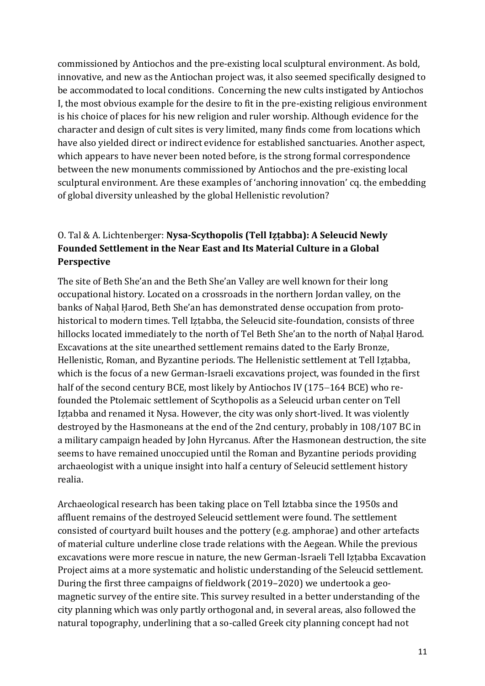commissioned by Antiochos and the pre-existing local sculptural environment. As bold, innovative, and new as the Antiochan project was, it also seemed specifically designed to be accommodated to local conditions. Concerning the new cults instigated by Antiochos I, the most obvious example for the desire to fit in the pre-existing religious environment is his choice of places for his new religion and ruler worship. Although evidence for the character and design of cult sites is very limited, many finds come from locations which have also yielded direct or indirect evidence for established sanctuaries. Another aspect, which appears to have never been noted before, is the strong formal correspondence between the new monuments commissioned by Antiochos and the pre-existing local sculptural environment. Are these examples of 'anchoring innovation' cq. the embedding of global diversity unleashed by the global Hellenistic revolution?

# O. Tal & A. Lichtenberger: **Nysa-Scythopolis (Tell Iẓṭabba): A Seleucid Newly Founded Settlement in the Near East and Its Material Culture in a Global Perspective**

The site of Beth She'an and the Beth She'an Valley are well known for their long occupational history. Located on a crossroads in the northern Jordan valley, on the banks of Nahal Harod, Beth She'an has demonstrated dense occupation from protohistorical to modern times. Tell Iztabba, the Seleucid site-foundation, consists of three hillocks located immediately to the north of Tel Beth She'an to the north of Nahal Harod. Excavations at the site unearthed settlement remains dated to the Early Bronze, Hellenistic, Roman, and Byzantine periods. The Hellenistic settlement at Tell Iẓṭabba, which is the focus of a new German-Israeli excavations project, was founded in the first half of the second century BCE, most likely by Antiochos IV (175−164 BCE) who refounded the Ptolemaic settlement of Scythopolis as a Seleucid urban center on Tell Iẓṭabba and renamed it Nysa. However, the city was only short-lived. It was violently destroyed by the Hasmoneans at the end of the 2nd century, probably in 108/107 BC in a military campaign headed by John Hyrcanus. After the Hasmonean destruction, the site seems to have remained unoccupied until the Roman and Byzantine periods providing archaeologist with a unique insight into half a century of Seleucid settlement history realia.

Archaeological research has been taking place on Tell Iztabba since the 1950s and affluent remains of the destroyed Seleucid settlement were found. The settlement consisted of courtyard built houses and the pottery (e.g. amphorae) and other artefacts of material culture underline close trade relations with the Aegean. While the previous excavations were more rescue in nature, the new German-Israeli Tell Iẓṭabba Excavation Project aims at a more systematic and holistic understanding of the Seleucid settlement. During the first three campaigns of fieldwork (2019–2020) we undertook a geomagnetic survey of the entire site. This survey resulted in a better understanding of the city planning which was only partly orthogonal and, in several areas, also followed the natural topography, underlining that a so-called Greek city planning concept had not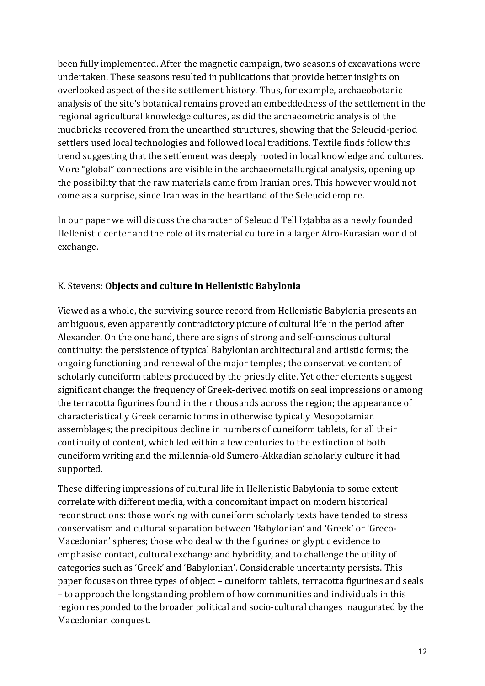been fully implemented. After the magnetic campaign, two seasons of excavations were undertaken. These seasons resulted in publications that provide better insights on overlooked aspect of the site settlement history. Thus, for example, archaeobotanic analysis of the site's botanical remains proved an embeddedness of the settlement in the regional agricultural knowledge cultures, as did the archaeometric analysis of the mudbricks recovered from the unearthed structures, showing that the Seleucid-period settlers used local technologies and followed local traditions. Textile finds follow this trend suggesting that the settlement was deeply rooted in local knowledge and cultures. More "global" connections are visible in the archaeometallurgical analysis, opening up the possibility that the raw materials came from Iranian ores. This however would not come as a surprise, since Iran was in the heartland of the Seleucid empire.

In our paper we will discuss the character of Seleucid Tell Iẓṭabba as a newly founded Hellenistic center and the role of its material culture in a larger Afro-Eurasian world of exchange.

#### K. Stevens: **Objects and culture in Hellenistic Babylonia**

Viewed as a whole, the surviving source record from Hellenistic Babylonia presents an ambiguous, even apparently contradictory picture of cultural life in the period after Alexander. On the one hand, there are signs of strong and self-conscious cultural continuity: the persistence of typical Babylonian architectural and artistic forms; the ongoing functioning and renewal of the major temples; the conservative content of scholarly cuneiform tablets produced by the priestly elite. Yet other elements suggest significant change: the frequency of Greek-derived motifs on seal impressions or among the terracotta figurines found in their thousands across the region; the appearance of characteristically Greek ceramic forms in otherwise typically Mesopotamian assemblages; the precipitous decline in numbers of cuneiform tablets, for all their continuity of content, which led within a few centuries to the extinction of both cuneiform writing and the millennia-old Sumero-Akkadian scholarly culture it had supported.

These differing impressions of cultural life in Hellenistic Babylonia to some extent correlate with different media, with a concomitant impact on modern historical reconstructions: those working with cuneiform scholarly texts have tended to stress conservatism and cultural separation between 'Babylonian' and 'Greek' or 'Greco-Macedonian' spheres; those who deal with the figurines or glyptic evidence to emphasise contact, cultural exchange and hybridity, and to challenge the utility of categories such as 'Greek' and 'Babylonian'. Considerable uncertainty persists. This paper focuses on three types of object – cuneiform tablets, terracotta figurines and seals – to approach the longstanding problem of how communities and individuals in this region responded to the broader political and socio-cultural changes inaugurated by the Macedonian conquest.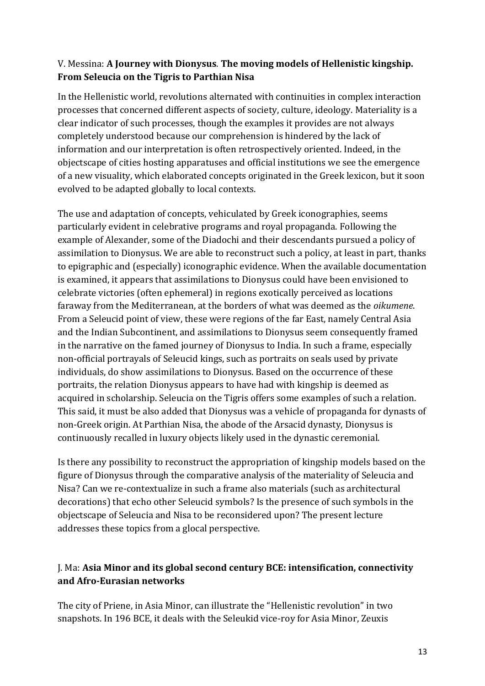## V. Messina: **A Journey with Dionysus**. **The moving models of Hellenistic kingship. From Seleucia on the Tigris to Parthian Nisa**

In the Hellenistic world, revolutions alternated with continuities in complex interaction processes that concerned different aspects of society, culture, ideology. Materiality is a clear indicator of such processes, though the examples it provides are not always completely understood because our comprehension is hindered by the lack of information and our interpretation is often retrospectively oriented. Indeed, in the objectscape of cities hosting apparatuses and official institutions we see the emergence of a new visuality, which elaborated concepts originated in the Greek lexicon, but it soon evolved to be adapted globally to local contexts.

The use and adaptation of concepts, vehiculated by Greek iconographies, seems particularly evident in celebrative programs and royal propaganda. Following the example of Alexander, some of the Diadochi and their descendants pursued a policy of assimilation to Dionysus. We are able to reconstruct such a policy, at least in part, thanks to epigraphic and (especially) iconographic evidence. When the available documentation is examined, it appears that assimilations to Dionysus could have been envisioned to celebrate victories (often ephemeral) in regions exotically perceived as locations faraway from the Mediterranean, at the borders of what was deemed as the *oikumene*. From a Seleucid point of view, these were regions of the far East, namely Central Asia and the Indian Subcontinent, and assimilations to Dionysus seem consequently framed in the narrative on the famed journey of Dionysus to India. In such a frame, especially non-official portrayals of Seleucid kings, such as portraits on seals used by private individuals, do show assimilations to Dionysus. Based on the occurrence of these portraits, the relation Dionysus appears to have had with kingship is deemed as acquired in scholarship. Seleucia on the Tigris offers some examples of such a relation. This said, it must be also added that Dionysus was a vehicle of propaganda for dynasts of non-Greek origin. At Parthian Nisa, the abode of the Arsacid dynasty, Dionysus is continuously recalled in luxury objects likely used in the dynastic ceremonial.

Is there any possibility to reconstruct the appropriation of kingship models based on the figure of Dionysus through the comparative analysis of the materiality of Seleucia and Nisa? Can we re-contextualize in such a frame also materials (such as architectural decorations) that echo other Seleucid symbols? Is the presence of such symbols in the objectscape of Seleucia and Nisa to be reconsidered upon? The present lecture addresses these topics from a glocal perspective.

## J. Ma: **Asia Minor and its global second century BCE: intensification, connectivity and Afro-Eurasian networks**

The city of Priene, in Asia Minor, can illustrate the "Hellenistic revolution" in two snapshots. In 196 BCE, it deals with the Seleukid vice-roy for Asia Minor, Zeuxis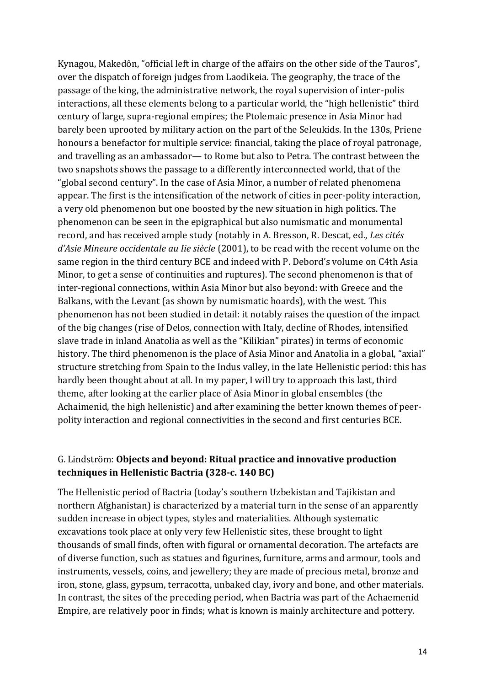Kynagou, Makedôn, "official left in charge of the affairs on the other side of the Tauros", over the dispatch of foreign judges from Laodikeia. The geography, the trace of the passage of the king, the administrative network, the royal supervision of inter-polis interactions, all these elements belong to a particular world, the "high hellenistic" third century of large, supra-regional empires; the Ptolemaic presence in Asia Minor had barely been uprooted by military action on the part of the Seleukids. In the 130s, Priene honours a benefactor for multiple service: financial, taking the place of royal patronage, and travelling as an ambassador— to Rome but also to Petra. The contrast between the two snapshots shows the passage to a differently interconnected world, that of the "global second century". In the case of Asia Minor, a number of related phenomena appear. The first is the intensification of the network of cities in peer-polity interaction, a very old phenomenon but one boosted by the new situation in high politics. The phenomenon can be seen in the epigraphical but also numismatic and monumental record, and has received ample study (notably in A. Bresson, R. Descat, ed., *Les cités d'Asie Mineure occidentale au Iie siècle* (2001), to be read with the recent volume on the same region in the third century BCE and indeed with P. Debord's volume on C4th Asia Minor, to get a sense of continuities and ruptures). The second phenomenon is that of inter-regional connections, within Asia Minor but also beyond: with Greece and the Balkans, with the Levant (as shown by numismatic hoards), with the west. This phenomenon has not been studied in detail: it notably raises the question of the impact of the big changes (rise of Delos, connection with Italy, decline of Rhodes, intensified slave trade in inland Anatolia as well as the "Kilikian" pirates) in terms of economic history. The third phenomenon is the place of Asia Minor and Anatolia in a global, "axial" structure stretching from Spain to the Indus valley, in the late Hellenistic period: this has hardly been thought about at all. In my paper, I will try to approach this last, third theme, after looking at the earlier place of Asia Minor in global ensembles (the Achaimenid, the high hellenistic) and after examining the better known themes of peerpolity interaction and regional connectivities in the second and first centuries BCE.

### G. Lindström: **Objects and beyond: Ritual practice and innovative production techniques in Hellenistic Bactria (328-c. 140 BC)**

The Hellenistic period of Bactria (today's southern Uzbekistan and Tajikistan and northern Afghanistan) is characterized by a material turn in the sense of an apparently sudden increase in object types, styles and materialities. Although systematic excavations took place at only very few Hellenistic sites, these brought to light thousands of small finds, often with figural or ornamental decoration. The artefacts are of diverse function, such as statues and figurines, furniture, arms and armour, tools and instruments, vessels, coins, and jewellery; they are made of precious metal, bronze and iron, stone, glass, gypsum, terracotta, unbaked clay, ivory and bone, and other materials. In contrast, the sites of the preceding period, when Bactria was part of the Achaemenid Empire, are relatively poor in finds; what is known is mainly architecture and pottery.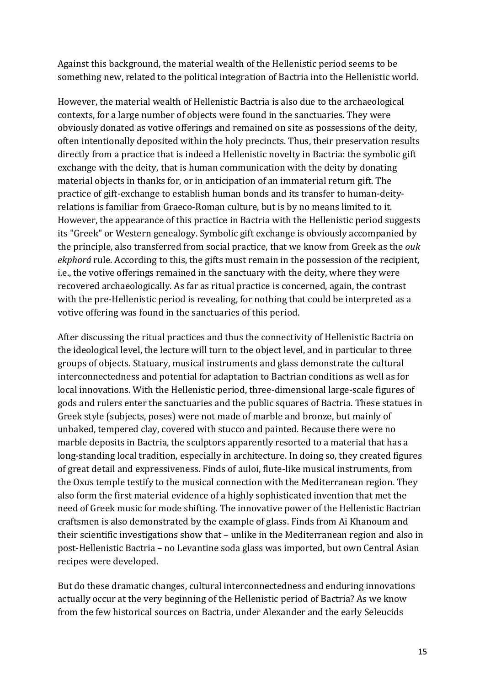Against this background, the material wealth of the Hellenistic period seems to be something new, related to the political integration of Bactria into the Hellenistic world.

However, the material wealth of Hellenistic Bactria is also due to the archaeological contexts, for a large number of objects were found in the sanctuaries. They were obviously donated as votive offerings and remained on site as possessions of the deity, often intentionally deposited within the holy precincts. Thus, their preservation results directly from a practice that is indeed a Hellenistic novelty in Bactria: the symbolic gift exchange with the deity, that is human communication with the deity by donating material objects in thanks for, or in anticipation of an immaterial return gift. The practice of gift-exchange to establish human bonds and its transfer to human-deityrelations is familiar from Graeco-Roman culture, but is by no means limited to it. However, the appearance of this practice in Bactria with the Hellenistic period suggests its "Greek" or Western genealogy. Symbolic gift exchange is obviously accompanied by the principle, also transferred from social practice, that we know from Greek as the *ouk ekphorá* rule. According to this, the gifts must remain in the possession of the recipient, i.e., the votive offerings remained in the sanctuary with the deity, where they were recovered archaeologically. As far as ritual practice is concerned, again, the contrast with the pre-Hellenistic period is revealing, for nothing that could be interpreted as a votive offering was found in the sanctuaries of this period.

After discussing the ritual practices and thus the connectivity of Hellenistic Bactria on the ideological level, the lecture will turn to the object level, and in particular to three groups of objects. Statuary, musical instruments and glass demonstrate the cultural interconnectedness and potential for adaptation to Bactrian conditions as well as for local innovations. With the Hellenistic period, three-dimensional large-scale figures of gods and rulers enter the sanctuaries and the public squares of Bactria. These statues in Greek style (subjects, poses) were not made of marble and bronze, but mainly of unbaked, tempered clay, covered with stucco and painted. Because there were no marble deposits in Bactria, the sculptors apparently resorted to a material that has a long-standing local tradition, especially in architecture. In doing so, they created figures of great detail and expressiveness. Finds of auloi, flute-like musical instruments, from the Oxus temple testify to the musical connection with the Mediterranean region. They also form the first material evidence of a highly sophisticated invention that met the need of Greek music for mode shifting. The innovative power of the Hellenistic Bactrian craftsmen is also demonstrated by the example of glass. Finds from Ai Khanoum and their scientific investigations show that – unlike in the Mediterranean region and also in post-Hellenistic Bactria – no Levantine soda glass was imported, but own Central Asian recipes were developed.

But do these dramatic changes, cultural interconnectedness and enduring innovations actually occur at the very beginning of the Hellenistic period of Bactria? As we know from the few historical sources on Bactria, under Alexander and the early Seleucids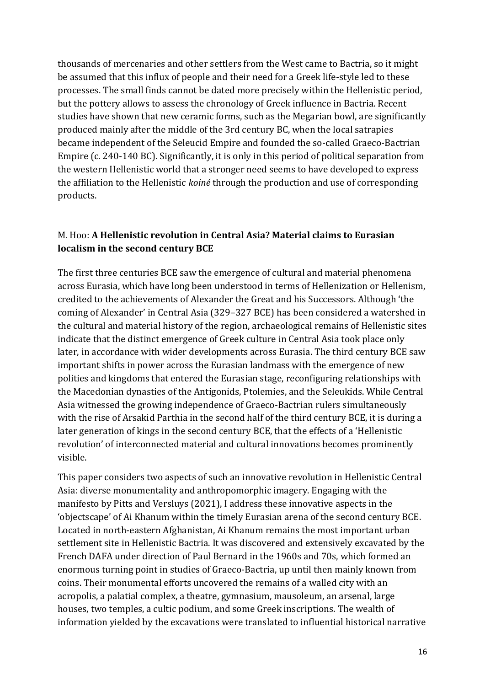thousands of mercenaries and other settlers from the West came to Bactria, so it might be assumed that this influx of people and their need for a Greek life-style led to these processes. The small finds cannot be dated more precisely within the Hellenistic period, but the pottery allows to assess the chronology of Greek influence in Bactria. Recent studies have shown that new ceramic forms, such as the Megarian bowl, are significantly produced mainly after the middle of the 3rd century BC, when the local satrapies became independent of the Seleucid Empire and founded the so-called Graeco-Bactrian Empire (c. 240-140 BC). Significantly, it is only in this period of political separation from the western Hellenistic world that a stronger need seems to have developed to express the affiliation to the Hellenistic *koiné* through the production and use of corresponding products.

## M. Hoo: **A Hellenistic revolution in Central Asia? Material claims to Eurasian localism in the second century BCE**

The first three centuries BCE saw the emergence of cultural and material phenomena across Eurasia, which have long been understood in terms of Hellenization or Hellenism, credited to the achievements of Alexander the Great and his Successors. Although 'the coming of Alexander' in Central Asia (329–327 BCE) has been considered a watershed in the cultural and material history of the region, archaeological remains of Hellenistic sites indicate that the distinct emergence of Greek culture in Central Asia took place only later, in accordance with wider developments across Eurasia. The third century BCE saw important shifts in power across the Eurasian landmass with the emergence of new polities and kingdoms that entered the Eurasian stage, reconfiguring relationships with the Macedonian dynasties of the Antigonids, Ptolemies, and the Seleukids. While Central Asia witnessed the growing independence of Graeco-Bactrian rulers simultaneously with the rise of Arsakid Parthia in the second half of the third century BCE, it is during a later generation of kings in the second century BCE, that the effects of a 'Hellenistic revolution' of interconnected material and cultural innovations becomes prominently visible.

This paper considers two aspects of such an innovative revolution in Hellenistic Central Asia: diverse monumentality and anthropomorphic imagery. Engaging with the manifesto by Pitts and Versluys (2021), I address these innovative aspects in the 'objectscape' of Ai Khanum within the timely Eurasian arena of the second century BCE. Located in north-eastern Afghanistan, Ai Khanum remains the most important urban settlement site in Hellenistic Bactria. It was discovered and extensively excavated by the French DAFA under direction of Paul Bernard in the 1960s and 70s, which formed an enormous turning point in studies of Graeco-Bactria, up until then mainly known from coins. Their monumental efforts uncovered the remains of a walled city with an acropolis, a palatial complex, a theatre, gymnasium, mausoleum, an arsenal, large houses, two temples, a cultic podium, and some Greek inscriptions. The wealth of information yielded by the excavations were translated to influential historical narrative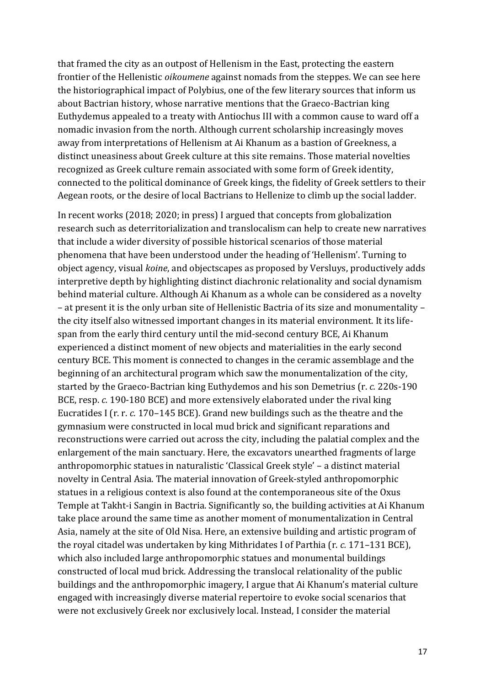that framed the city as an outpost of Hellenism in the East, protecting the eastern frontier of the Hellenistic *oikoumene* against nomads from the steppes. We can see here the historiographical impact of Polybius, one of the few literary sources that inform us about Bactrian history, whose narrative mentions that the Graeco-Bactrian king Euthydemus appealed to a treaty with Antiochus III with a common cause to ward off a nomadic invasion from the north. Although current scholarship increasingly moves away from interpretations of Hellenism at Ai Khanum as a bastion of Greekness, a distinct uneasiness about Greek culture at this site remains. Those material novelties recognized as Greek culture remain associated with some form of Greek identity, connected to the political dominance of Greek kings, the fidelity of Greek settlers to their Aegean roots, or the desire of local Bactrians to Hellenize to climb up the social ladder.

In recent works (2018; 2020; in press) I argued that concepts from globalization research such as deterritorialization and translocalism can help to create new narratives that include a wider diversity of possible historical scenarios of those material phenomena that have been understood under the heading of 'Hellenism'. Turning to object agency, visual *koine*, and objectscapes as proposed by Versluys, productively adds interpretive depth by highlighting distinct diachronic relationality and social dynamism behind material culture. Although Ai Khanum as a whole can be considered as a novelty – at present it is the only urban site of Hellenistic Bactria of its size and monumentality – the city itself also witnessed important changes in its material environment. It its lifespan from the early third century until the mid-second century BCE, Ai Khanum experienced a distinct moment of new objects and materialities in the early second century BCE. This moment is connected to changes in the ceramic assemblage and the beginning of an architectural program which saw the monumentalization of the city, started by the Graeco-Bactrian king Euthydemos and his son Demetrius (r. *c.* 220s-190 BCE, resp. *c.* 190-180 BCE) and more extensively elaborated under the rival king Eucratides I (r. r. *c.* 170–145 BCE). Grand new buildings such as the theatre and the gymnasium were constructed in local mud brick and significant reparations and reconstructions were carried out across the city, including the palatial complex and the enlargement of the main sanctuary. Here, the excavators unearthed fragments of large anthropomorphic statues in naturalistic 'Classical Greek style' – a distinct material novelty in Central Asia. The material innovation of Greek-styled anthropomorphic statues in a religious context is also found at the contemporaneous site of the Oxus Temple at Takht-i Sangin in Bactria. Significantly so, the building activities at Ai Khanum take place around the same time as another moment of monumentalization in Central Asia, namely at the site of Old Nisa. Here, an extensive building and artistic program of the royal citadel was undertaken by king Mithridates I of Parthia (r. *c.* 171–131 BCE), which also included large anthropomorphic statues and monumental buildings constructed of local mud brick. Addressing the translocal relationality of the public buildings and the anthropomorphic imagery, I argue that Ai Khanum's material culture engaged with increasingly diverse material repertoire to evoke social scenarios that were not exclusively Greek nor exclusively local. Instead, I consider the material